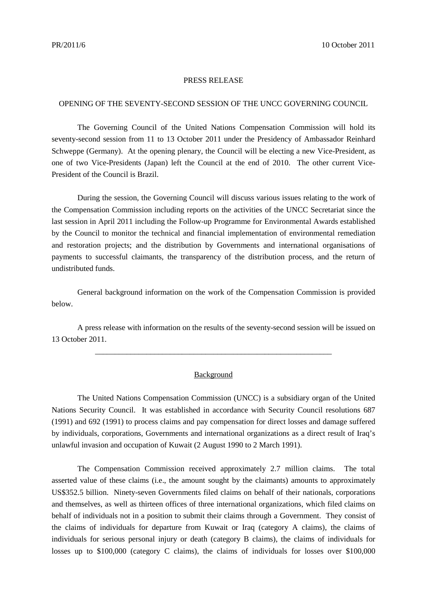## PRESS RELEASE

## OPENING OF THE SEVENTY-SECOND SESSION OF THE UNCC GOVERNING COUNCIL

The Governing Council of the United Nations Compensation Commission will hold its seventy-second session from 11 to 13 October 2011 under the Presidency of Ambassador Reinhard Schweppe (Germany). At the opening plenary, the Council will be electing a new Vice-President, as one of two Vice-Presidents (Japan) left the Council at the end of 2010. The other current Vice-President of the Council is Brazil.

During the session, the Governing Council will discuss various issues relating to the work of the Compensation Commission including reports on the activities of the UNCC Secretariat since the last session in April 2011 including the Follow-up Programme for Environmental Awards established by the Council to monitor the technical and financial implementation of environmental remediation and restoration projects; and the distribution by Governments and international organisations of payments to successful claimants, the transparency of the distribution process, and the return of undistributed funds.

General background information on the work of the Compensation Commission is provided below.

A press release with information on the results of the seventy-second session will be issued on 13 October 2011.

\_\_\_\_\_\_\_\_\_\_\_\_\_\_\_\_\_\_\_\_\_\_\_\_\_\_\_\_\_\_\_\_\_\_\_\_\_\_\_\_\_\_\_\_\_\_\_\_\_\_\_\_\_\_\_\_\_\_\_\_

## Background

The United Nations Compensation Commission (UNCC) is a subsidiary organ of the United Nations Security Council. It was established in accordance with Security Council resolutions 687 (1991) and 692 (1991) to process claims and pay compensation for direct losses and damage suffered by individuals, corporations, Governments and international organizations as a direct result of Iraq's unlawful invasion and occupation of Kuwait (2 August 1990 to 2 March 1991).

The Compensation Commission received approximately 2.7 million claims. The total asserted value of these claims (i.e., the amount sought by the claimants) amounts to approximately US\$352.5 billion. Ninety-seven Governments filed claims on behalf of their nationals, corporations and themselves, as well as thirteen offices of three international organizations, which filed claims on behalf of individuals not in a position to submit their claims through a Government. They consist of the claims of individuals for departure from Kuwait or Iraq (category A claims), the claims of individuals for serious personal injury or death (category B claims), the claims of individuals for losses up to \$100,000 (category C claims), the claims of individuals for losses over \$100,000